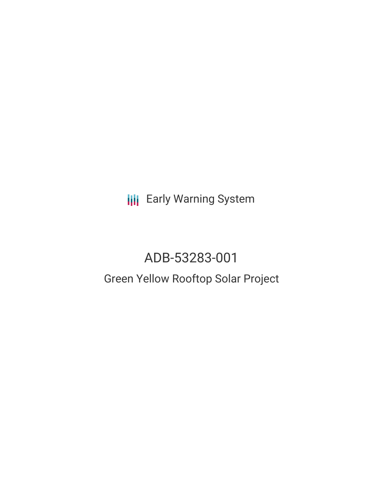**III** Early Warning System

# ADB-53283-001 Green Yellow Rooftop Solar Project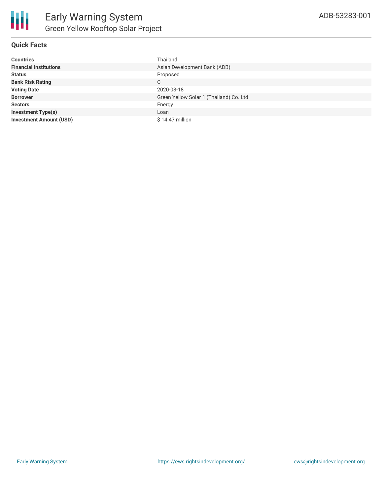

# **Quick Facts**

| <b>Countries</b>               | Thailand                                |
|--------------------------------|-----------------------------------------|
| <b>Financial Institutions</b>  | Asian Development Bank (ADB)            |
| <b>Status</b>                  | Proposed                                |
| <b>Bank Risk Rating</b>        | C                                       |
| <b>Voting Date</b>             | 2020-03-18                              |
| <b>Borrower</b>                | Green Yellow Solar 1 (Thailand) Co. Ltd |
| <b>Sectors</b>                 | Energy                                  |
| <b>Investment Type(s)</b>      | Loan                                    |
| <b>Investment Amount (USD)</b> | $$14.47$ million                        |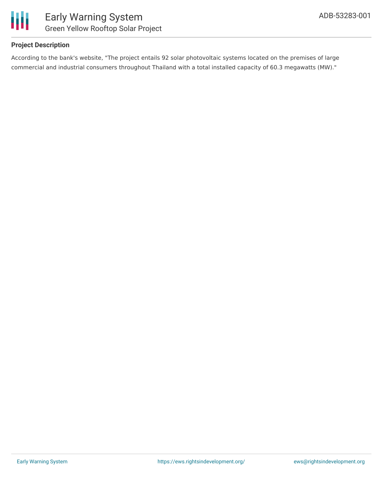

# **Project Description**

According to the bank's website, "The project entails 92 solar photovoltaic systems located on the premises of large commercial and industrial consumers throughout Thailand with a total installed capacity of 60.3 megawatts (MW)."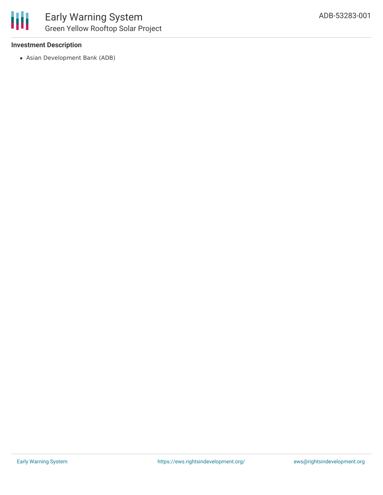## **Investment Description**

Asian Development Bank (ADB)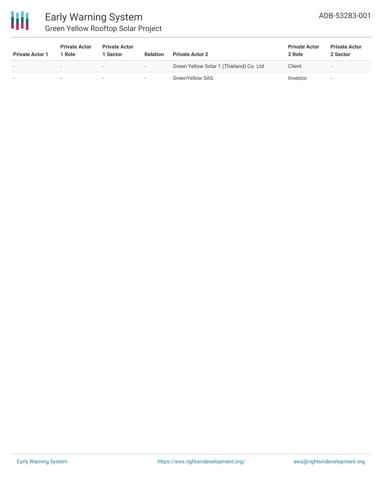

# Early Warning System Green Yellow Rooftop Solar Project

| <b>Private Actor 1</b>   | <b>Private Actor</b><br>Role | <b>Private Actor</b><br>1 Sector | <b>Relation</b>          | <b>Private Actor 2</b>                  | <b>Private Actor</b><br>2 Role | <b>Private Actor</b><br>2 Sector |
|--------------------------|------------------------------|----------------------------------|--------------------------|-----------------------------------------|--------------------------------|----------------------------------|
| $\overline{\phantom{a}}$ | $\overline{\phantom{0}}$     |                                  | $\sim$                   | Green Yellow Solar 1 (Thailand) Co. Ltd | Client                         | $\sim$                           |
|                          | $\overline{\phantom{a}}$     |                                  | $\overline{\phantom{a}}$ | <b>GreenYellow SAS</b>                  | Investor                       | $\overline{\phantom{a}}$         |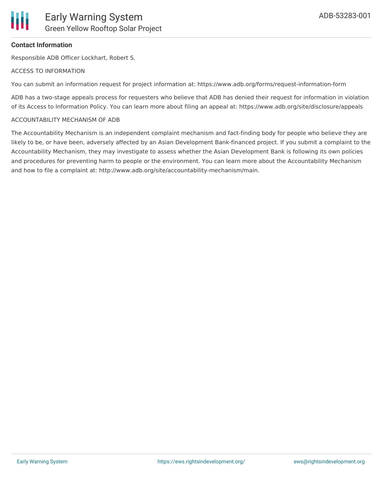

## **Contact Information**

Responsible ADB Officer Lockhart, Robert S.

### ACCESS TO INFORMATION

You can submit an information request for project information at: https://www.adb.org/forms/request-information-form

ADB has a two-stage appeals process for requesters who believe that ADB has denied their request for information in violation of its Access to Information Policy. You can learn more about filing an appeal at: https://www.adb.org/site/disclosure/appeals

### ACCOUNTABILITY MECHANISM OF ADB

The Accountability Mechanism is an independent complaint mechanism and fact-finding body for people who believe they are likely to be, or have been, adversely affected by an Asian Development Bank-financed project. If you submit a complaint to the Accountability Mechanism, they may investigate to assess whether the Asian Development Bank is following its own policies and procedures for preventing harm to people or the environment. You can learn more about the Accountability Mechanism and how to file a complaint at: http://www.adb.org/site/accountability-mechanism/main.